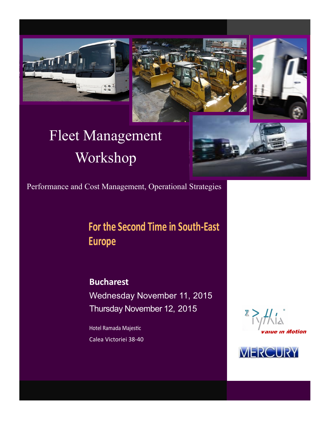





# Fleet Management Workshop



Performance and Cost Management, Operational Strategies

## **For the Second Time in South-East Europe**

**Bucharest** Wednesday November 11, 2015 Thursday November 12, 2015

Hotel Ramada Majestic Calea Victoriei 38-40



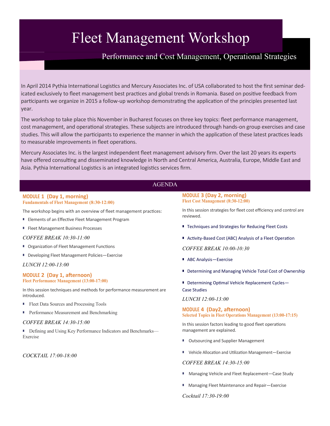## Fleet Management Workshop

## Performance and Cost Management, Operational Strategies

In April 2014 Pythia International Logistics and Mercury Associates Inc. of USA collaborated to host the first seminar dedicated exclusively to fleet management best practices and global trends in Romania. Based on positive feedback from participants we organize in 2015 a follow-up workshop demonstrating the application of the principles presented last year.

The workshop to take place this November in Bucharest focuses on three key topics: fleet performance management, cost management, and operational strategies. These subjects are introduced through hands-on group exercises and case studies. This will allow the participants to experience the manner in which the application of these latest practices leads to measurable improvements in fleet operations.

Mercury Associates Inc. is the largest independent fleet management advisory firm. Over the last 20 years its experts have offered consulting and disseminated knowledge in North and Central America, Australia, Europe, Middle East and Asia. Pythia International Logistics is an integrated logistics services firm.

### AGENDA

#### **MODULE 1 (Day 1, morning) Fundamentals of Fleet Management (8:30-12:00)**

The workshop begins with an overview of fleet management practices:

- Elements of an Effective Fleet Management Program
- Fleet Management Business Processes

#### *COFFEE BREAK 10:30-11:00*

- Organization of Fleet Management Functions
- Developing Fleet Management Policies–Exercise

#### *LUNCH 12:00-13:00*

#### **MODULE 2 (Day 1, afternoon) Fleet Performance Management (13:00-17:00)**

In this session techniques and methods for performance measurement are introduced.

- Fleet Data Sources and Processing Tools
- Performance Measurement and Benchmarking

#### *COFFEE BREAK 14:30-15:00*

■ Defining and Using Key Performance Indicators and Benchmarks— Exercise

*COCKTAIL 17:00-18:00*

#### **MODULE 3 (Day 2, morning) Fleet Cost Management (8:30-12:00)**

In this session strategies for fleet cost efficiency and control are reviewed.

- Techniques and Strategies for Reducing Fleet Costs
- Activity-Based Cost (ABC) Analysis of a Fleet Operation

*COFFEE BREAK 10:00-10:30*

- ABC Analysis-Exercise
- Determining and Managing Vehicle Total Cost of Ownership
- Determining Optimal Vehicle Replacement Cycles– Case Studies

*LUNCH 12:00-13:00*

**MODULE 4 (Day2, afternoon) Selected Topics in Fleet Operations Management (13:00-17:15)**

In this session factors leading to good fleet operations management are explained.

- Outsourcing and Supplier Management
- Vehicle Allocation and Utilization Management-Exercise

#### *COFFEE BREAK 14:30-15:00*

- Managing Vehicle and Fleet Replacement–Case Study
- Managing Fleet Maintenance and Repair–Exercise

*Cocktail 17:30-19:00*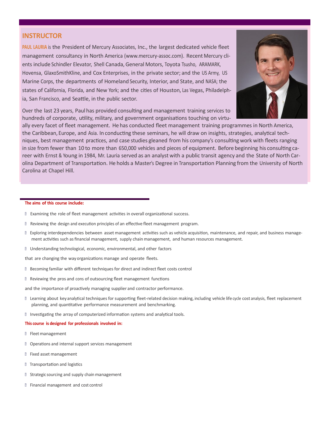### **INSTRUCTOR**

**PAUL LAURIA** is the President of Mercury Associates, Inc., the largest dedicated vehicle fleet management consultancy in North America [\(www.mercury](http://www.mercury-assoc.com)-assoc.com). Recent Mercury clients include Schindler Elevator, Shell Canada, General Motors, Toyota Tsusho, ARAMARK, Hovensa, GlaxoSmithKline, and Cox Enterprises, in the private sector; and the US Army, US Marine Corps, the departments of Homeland Security, Interior, and State, and NASA; the states of California, Florida, and New York; and the cities of Houston, Las Vegas, Philadelphia, San Francisco, and Seattle, in the public sector.



Over the last 23 years, Paul has provided consulting and management training services to hundreds of corporate, utility, military, and government organisations touching on virtu-

ally every facet of fleet management. He has conducted fleet management training programmes in North America, the Caribbean, Europe, and Asia. In conducting these seminars, he will draw on insights, strategies, analytical techniques, best management practices, and case studies gleaned from his company's consulting work with fleets ranging in size from fewer than 10 to more than 650,000 vehicles and pieces of equipment. Before beginning his consulting career with Ernst & Young in 1984, Mr. Lauria served as an analyst with a public transit agency and the State of North Carolina Department of Transportation. He holds a Master's Degree in Transportation Planning from the University of North Carolina at Chapel Hill.

#### **The aims of this course include:**

- Examining the role of fleet management activities in overall organizational success.
- Reviewing the design and execution principles of an effective fleet management program.
- Exploring interdependencies between asset management activities such as vehicle acquisition, maintenance, and repair, and business management activities such as financial management, supply chain management, and human resources management.
- Understanding technological, economic, environmental, and other factors

that are changing the way organizations manage and operate fleets.

- Becoming familiar with different techniques for direct and indirect fleet costs control
- Reviewing the pros and cons of outsourcing fleet management functions

and the importance of proactively managing supplier and contractor performance.

- Learning about key analytical techniques for supporting fleet-related decision making, including vehicle life cycle cost analysis, fleet replacement planning, and quantitative performance measurement and benchmarking.
- Investigating the array of computerized information systems and analytical tools.

#### **This course is designed for professionals involved in:**

- Fleetmanagement
- **D** Operations and internal support services management
- **B** Fixed asset management
- **Transportation and logistics**
- **B** Strategic sourcing and supply chain management
- Financial management and cost control